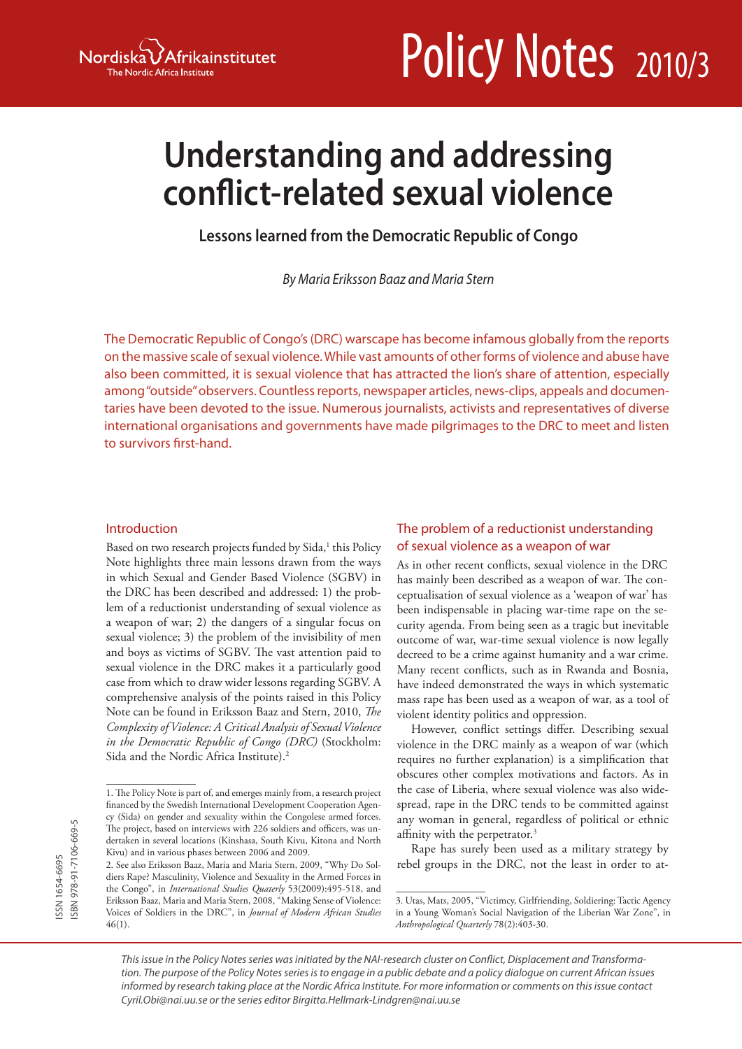

# Policy Notes 2010/3

# **Understanding and addressing conflict-related sexual violence**

**Lessons learned from the Democratic Republic of Congo**

*By Maria Eriksson Baaz and Maria Stern*

The Democratic Republic of Congo's (DRC) warscape has become infamous globally from the reports on the massive scale of sexual violence. While vast amounts of other forms of violence and abuse have also been committed, it is sexual violence that has attracted the lion's share of attention, especially among "outside" observers. Countless reports, newspaper articles, news-clips, appeals and documentaries have been devoted to the issue. Numerous journalists, activists and representatives of diverse international organisations and governments have made pilgrimages to the DRC to meet and listen to survivors first-hand.

#### Introduction

Based on two research projects funded by Sida,<sup>1</sup> this Policy Note highlights three main lessons drawn from the ways in which Sexual and Gender Based Violence (SGBV) in the DRC has been described and addressed: 1) the problem of a reductionist understanding of sexual violence as a weapon of war; 2) the dangers of a singular focus on sexual violence; 3) the problem of the invisibility of men and boys as victims of SGBV. The vast attention paid to sexual violence in the DRC makes it a particularly good case from which to draw wider lessons regarding SGBV. A comprehensive analysis of the points raised in this Policy Note can be found in Eriksson Baaz and Stern, 2010, *The Complexity of Violence: A Critical Analysis of Sexual Violence in the Democratic Republic of Congo (DRC)* (Stockholm: Sida and the Nordic Africa Institute).<sup>2</sup>

# The problem of a reductionist understanding of sexual violence as a weapon of war

As in other recent conflicts, sexual violence in the DRC has mainly been described as a weapon of war. The conceptualisation of sexual violence as a 'weapon of war' has been indispensable in placing war-time rape on the security agenda. From being seen as a tragic but inevitable outcome of war, war-time sexual violence is now legally decreed to be a crime against humanity and a war crime. Many recent conflicts, such as in Rwanda and Bosnia, have indeed demonstrated the ways in which systematic mass rape has been used as a weapon of war, as a tool of violent identity politics and oppression.

However, conflict settings differ. Describing sexual violence in the DRC mainly as a weapon of war (which requires no further explanation) is a simplification that obscures other complex motivations and factors. As in the case of Liberia, where sexual violence was also widespread, rape in the DRC tends to be committed against any woman in general, regardless of political or ethnic affinity with the perpetrator.3

Rape has surely been used as a military strategy by rebel groups in the DRC, not the least in order to at-

<sup>1.</sup> The Policy Note is part of, and emerges mainly from, a research project financed by the Swedish International Development Cooperation Agency (Sida) on gender and sexuality within the Congolese armed forces. The project, based on interviews with 226 soldiers and officers, was undertaken in several locations (Kinshasa, South Kivu, Kitona and North Kivu) and in various phases between 2006 and 2009.

<sup>2.</sup> See also Eriksson Baaz, Maria and Maria Stern, 2009, "Why Do Soldiers Rape? Masculinity, Violence and Sexuality in the Armed Forces in the Congo", in *International Studies Quaterly* 53(2009):495-518, and Eriksson Baaz, Maria and Maria Stern, 2008, "Making Sense of Violence: Voices of Soldiers in the DRC", in *Journal of Modern African Studies* 46(1).

<sup>3.</sup> Utas, Mats, 2005, "Victimcy, Girlfriending, Soldiering: Tactic Agency in a Young Woman's Social Navigation of the Liberian War Zone", in *Anthropological Quarterly* 78(2):403-30.

*This issue in the Policy Notes series was initiated by the NAI-research cluster on Conflict, Displacement and Transformation. The purpose of the Policy Notes series is to engage in a public debate and a policy dialogue on current African issues informed by research taking place at the Nordic Africa Institute. For more information or comments on this issue contact Cyril.Obi@nai.uu.se or the series editor Birgitta.Hellmark-Lindgren@nai.uu.se*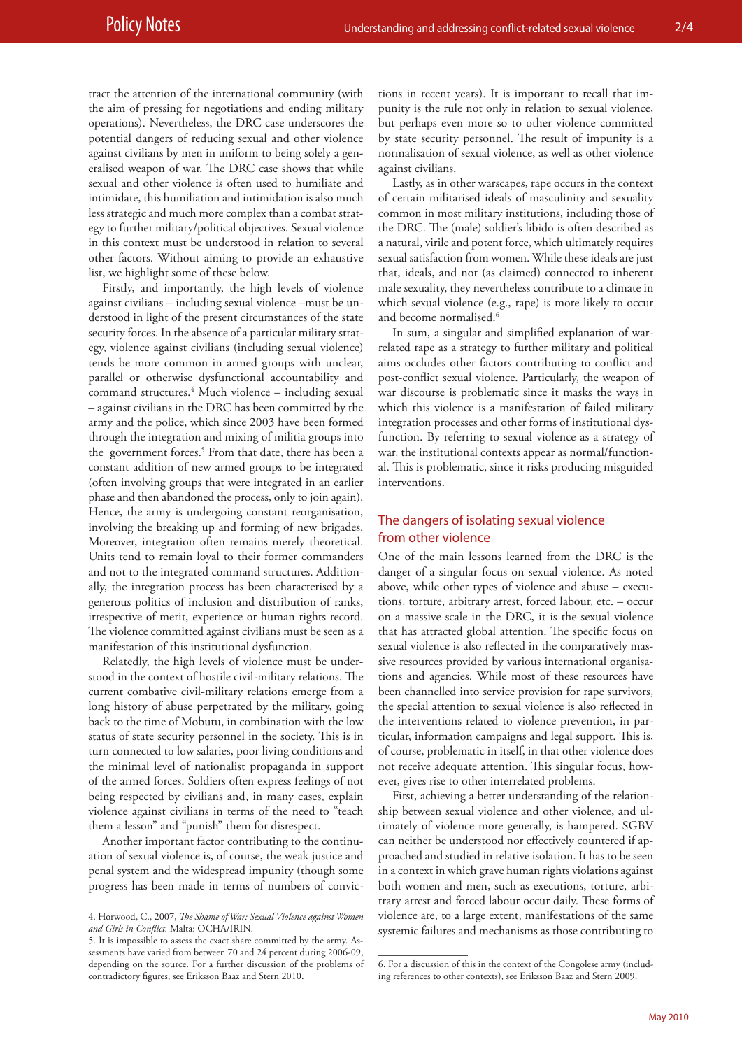tract the attention of the international community (with the aim of pressing for negotiations and ending military operations). Nevertheless, the DRC case underscores the potential dangers of reducing sexual and other violence against civilians by men in uniform to being solely a generalised weapon of war. The DRC case shows that while sexual and other violence is often used to humiliate and intimidate, this humiliation and intimidation is also much less strategic and much more complex than a combat strategy to further military/political objectives. Sexual violence in this context must be understood in relation to several other factors. Without aiming to provide an exhaustive list, we highlight some of these below.

Firstly, and importantly, the high levels of violence against civilians – including sexual violence –must be understood in light of the present circumstances of the state security forces. In the absence of a particular military strategy, violence against civilians (including sexual violence) tends be more common in armed groups with unclear, parallel or otherwise dysfunctional accountability and command structures.4 Much violence – including sexual – against civilians in the DRC has been committed by the army and the police, which since 2003 have been formed through the integration and mixing of militia groups into the government forces.<sup>5</sup> From that date, there has been a constant addition of new armed groups to be integrated (often involving groups that were integrated in an earlier phase and then abandoned the process, only to join again). Hence, the army is undergoing constant reorganisation, involving the breaking up and forming of new brigades. Moreover, integration often remains merely theoretical. Units tend to remain loyal to their former commanders and not to the integrated command structures. Additionally, the integration process has been characterised by a generous politics of inclusion and distribution of ranks, irrespective of merit, experience or human rights record. The violence committed against civilians must be seen as a manifestation of this institutional dysfunction.

Relatedly, the high levels of violence must be understood in the context of hostile civil-military relations. The current combative civil-military relations emerge from a long history of abuse perpetrated by the military, going back to the time of Mobutu, in combination with the low status of state security personnel in the society. This is in turn connected to low salaries, poor living conditions and the minimal level of nationalist propaganda in support of the armed forces. Soldiers often express feelings of not being respected by civilians and, in many cases, explain violence against civilians in terms of the need to "teach them a lesson" and "punish" them for disrespect.

Another important factor contributing to the continuation of sexual violence is, of course, the weak justice and penal system and the widespread impunity (though some progress has been made in terms of numbers of convictions in recent years). It is important to recall that impunity is the rule not only in relation to sexual violence, but perhaps even more so to other violence committed by state security personnel. The result of impunity is a normalisation of sexual violence, as well as other violence against civilians.

Lastly, as in other warscapes, rape occurs in the context of certain militarised ideals of masculinity and sexuality common in most military institutions, including those of the DRC. The (male) soldier's libido is often described as a natural, virile and potent force, which ultimately requires sexual satisfaction from women. While these ideals are just that, ideals, and not (as claimed) connected to inherent male sexuality, they nevertheless contribute to a climate in which sexual violence (e.g., rape) is more likely to occur and become normalised.<sup>6</sup>

In sum, a singular and simplified explanation of warrelated rape as a strategy to further military and political aims occludes other factors contributing to conflict and post-conflict sexual violence. Particularly, the weapon of war discourse is problematic since it masks the ways in which this violence is a manifestation of failed military integration processes and other forms of institutional dysfunction. By referring to sexual violence as a strategy of war, the institutional contexts appear as normal/functional. This is problematic, since it risks producing misguided interventions.

## The dangers of isolating sexual violence from other violence

One of the main lessons learned from the DRC is the danger of a singular focus on sexual violence. As noted above, while other types of violence and abuse – executions, torture, arbitrary arrest, forced labour, etc. – occur on a massive scale in the DRC, it is the sexual violence that has attracted global attention. The specific focus on sexual violence is also reflected in the comparatively massive resources provided by various international organisations and agencies. While most of these resources have been channelled into service provision for rape survivors, the special attention to sexual violence is also reflected in the interventions related to violence prevention, in particular, information campaigns and legal support. This is, of course, problematic in itself, in that other violence does not receive adequate attention. This singular focus, however, gives rise to other interrelated problems.

First, achieving a better understanding of the relationship between sexual violence and other violence, and ultimately of violence more generally, is hampered. SGBV can neither be understood nor effectively countered if approached and studied in relative isolation. It has to be seen in a context in which grave human rights violations against both women and men, such as executions, torture, arbitrary arrest and forced labour occur daily. These forms of violence are, to a large extent, manifestations of the same systemic failures and mechanisms as those contributing to

<sup>4.</sup> Horwood, C., 2007, *The Shame of War: Sexual Violence against Women and Girls in Conflict.* Malta: OCHA/IRIN.

<sup>5.</sup> It is impossible to assess the exact share committed by the army. Assessments have varied from between 70 and 24 percent during 2006-09, depending on the source. For a further discussion of the problems of contradictory figures, see Eriksson Baaz and Stern 2010.

<sup>6.</sup> For a discussion of this in the context of the Congolese army (including references to other contexts), see Eriksson Baaz and Stern 2009.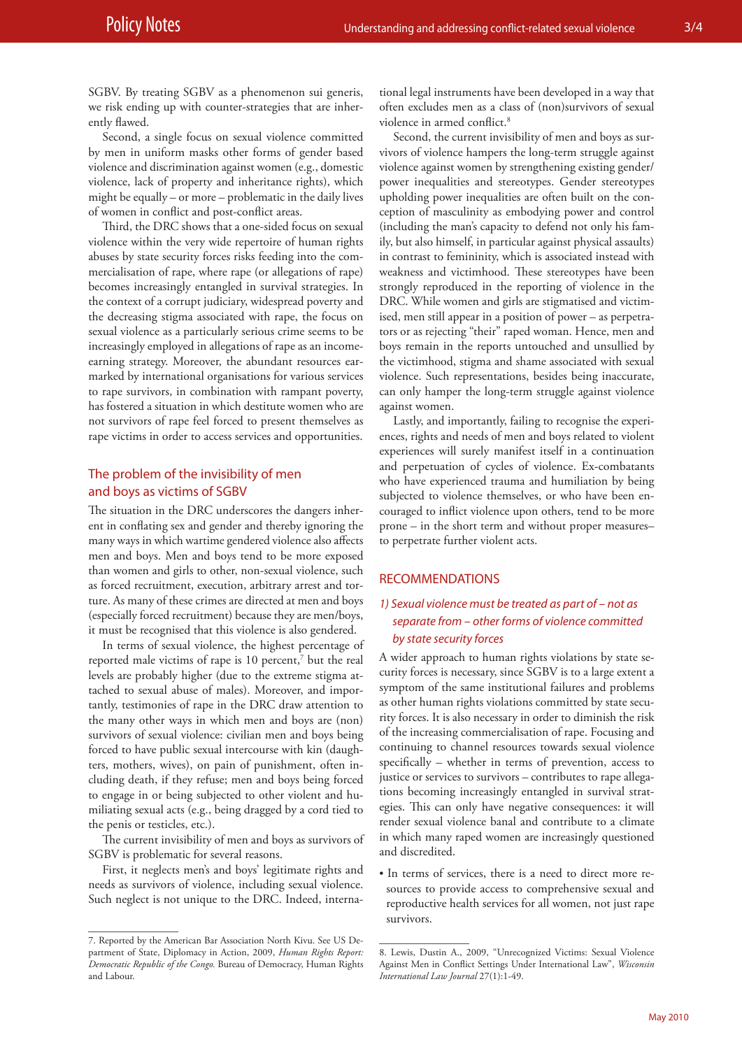SGBV. By treating SGBV as a phenomenon sui generis, we risk ending up with counter-strategies that are inherently flawed.

Second, a single focus on sexual violence committed by men in uniform masks other forms of gender based violence and discrimination against women (e.g., domestic violence, lack of property and inheritance rights), which might be equally – or more – problematic in the daily lives of women in conflict and post-conflict areas.

Third, the DRC shows that a one-sided focus on sexual violence within the very wide repertoire of human rights abuses by state security forces risks feeding into the commercialisation of rape, where rape (or allegations of rape) becomes increasingly entangled in survival strategies. In the context of a corrupt judiciary, widespread poverty and the decreasing stigma associated with rape, the focus on sexual violence as a particularly serious crime seems to be increasingly employed in allegations of rape as an incomeearning strategy. Moreover, the abundant resources earmarked by international organisations for various services to rape survivors, in combination with rampant poverty, has fostered a situation in which destitute women who are not survivors of rape feel forced to present themselves as rape victims in order to access services and opportunities.

## The problem of the invisibility of men and boys as victims of SGBV

The situation in the DRC underscores the dangers inherent in conflating sex and gender and thereby ignoring the many ways in which wartime gendered violence also affects men and boys. Men and boys tend to be more exposed than women and girls to other, non-sexual violence, such as forced recruitment, execution, arbitrary arrest and torture. As many of these crimes are directed at men and boys (especially forced recruitment) because they are men/boys, it must be recognised that this violence is also gendered.

In terms of sexual violence, the highest percentage of reported male victims of rape is 10 percent,<sup>7</sup> but the real levels are probably higher (due to the extreme stigma attached to sexual abuse of males). Moreover, and importantly, testimonies of rape in the DRC draw attention to the many other ways in which men and boys are (non) survivors of sexual violence: civilian men and boys being forced to have public sexual intercourse with kin (daughters, mothers, wives), on pain of punishment, often including death, if they refuse; men and boys being forced to engage in or being subjected to other violent and humiliating sexual acts (e.g., being dragged by a cord tied to the penis or testicles, etc.).

The current invisibility of men and boys as survivors of SGBV is problematic for several reasons.

First, it neglects men's and boys' legitimate rights and needs as survivors of violence, including sexual violence. Such neglect is not unique to the DRC. Indeed, international legal instruments have been developed in a way that often excludes men as a class of (non)survivors of sexual violence in armed conflict.8

Second, the current invisibility of men and boys as survivors of violence hampers the long-term struggle against violence against women by strengthening existing gender/ power inequalities and stereotypes. Gender stereotypes upholding power inequalities are often built on the conception of masculinity as embodying power and control (including the man's capacity to defend not only his family, but also himself, in particular against physical assaults) in contrast to femininity, which is associated instead with weakness and victimhood. These stereotypes have been strongly reproduced in the reporting of violence in the DRC. While women and girls are stigmatised and victimised, men still appear in a position of power – as perpetrators or as rejecting "their" raped woman. Hence, men and boys remain in the reports untouched and unsullied by the victimhood, stigma and shame associated with sexual violence. Such representations, besides being inaccurate, can only hamper the long-term struggle against violence against women.

Lastly, and importantly, failing to recognise the experiences, rights and needs of men and boys related to violent experiences will surely manifest itself in a continuation and perpetuation of cycles of violence. Ex-combatants who have experienced trauma and humiliation by being subjected to violence themselves, or who have been encouraged to inflict violence upon others, tend to be more prone – in the short term and without proper measures– to perpetrate further violent acts.

#### RECOMMENDATIONS

# *1) Sexual violence must be treated as part of – not as separate from – other forms of violence committed by state security forces*

A wider approach to human rights violations by state security forces is necessary, since SGBV is to a large extent a symptom of the same institutional failures and problems as other human rights violations committed by state security forces. It is also necessary in order to diminish the risk of the increasing commercialisation of rape. Focusing and continuing to channel resources towards sexual violence specifically – whether in terms of prevention, access to justice or services to survivors – contributes to rape allegations becoming increasingly entangled in survival strategies. This can only have negative consequences: it will render sexual violence banal and contribute to a climate in which many raped women are increasingly questioned and discredited.

• In terms of services, there is a need to direct more resources to provide access to comprehensive sexual and reproductive health services for all women, not just rape survivors.

<sup>7.</sup> Reported by the American Bar Association North Kivu. See US Department of State, Diplomacy in Action, 2009, *Human Rights Report: Democratic Republic of the Congo.* Bureau of Democracy, Human Rights and Labour.

<sup>8.</sup> Lewis, Dustin A., 2009, "Unrecognized Victims: Sexual Violence Against Men in Conflict Settings Under International Law", *Wisconsin International Law Journal* 27(1):1-49.